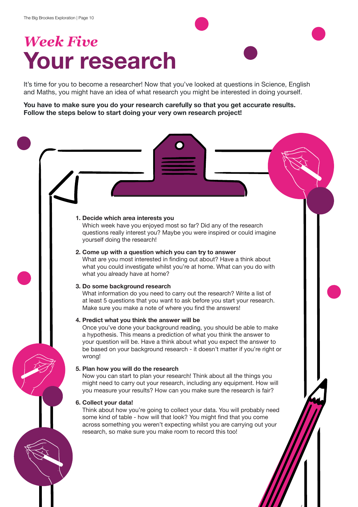# *Week Five* **Your research**

It's time for you to become a researcher! Now that you've looked at questions in Science, English and Maths, you might have an idea of what research you might be interested in doing yourself.

**You have to make sure you do your research carefully so that you get accurate results. Follow the steps below to start doing your very own research project!** 

## **1. Decide which area interests you** Which week have you enjoyed most so far? Did any of the research questions really interest you? Maybe you were inspired or could imagine yourself doing the research! **2. Come up with a question which you can try to answer** What are you most interested in finding out about? Have a think about what you could investigate whilst you're at home. What can you do with what you already have at home? **3. Do some background research** What information do you need to carry out the research? Write a list of at least 5 questions that you want to ask before you start your research. Make sure you make a note of where you find the answers! **4. Predict what you think the answer will be** Once you've done your background reading, you should be able to make a hypothesis. This means a prediction of what you think the answer to your question will be. Have a think about what you expect the answer to be based on your background research - it doesn't matter if you're right or wrong! **5. Plan how you will do the research** Now you can start to plan your research! Think about all the things you might need to carry out your research, including any equipment. How will you measure your results? How can you make sure the research is fair? **6. Collect your data!** Think about how you're going to collect your data. You will probably need some kind of table - how will that look? You might find that you come across something you weren't expecting whilst you are carrying out your research, so make sure you make room to record this too!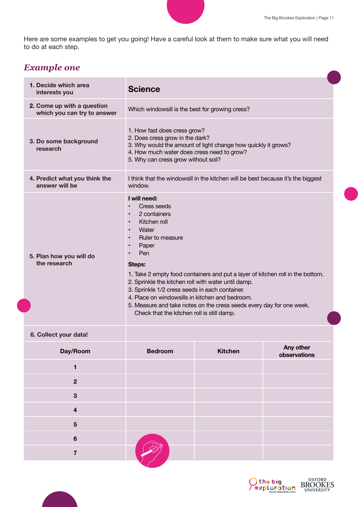Here are some examples to get you going! Have a careful look at them to make sure what you will need to do at each step.

#### *Example one*

| 1. Decide which area<br>interests you                     | <b>Science</b>                                                                                                                                                                                                                                                                                                                                                                                                                                                                                                          |                |                           |  |  |
|-----------------------------------------------------------|-------------------------------------------------------------------------------------------------------------------------------------------------------------------------------------------------------------------------------------------------------------------------------------------------------------------------------------------------------------------------------------------------------------------------------------------------------------------------------------------------------------------------|----------------|---------------------------|--|--|
| 2. Come up with a question<br>which you can try to answer | Which windowsill is the best for growing cress?                                                                                                                                                                                                                                                                                                                                                                                                                                                                         |                |                           |  |  |
| 3. Do some background<br>research                         | 1. How fast does cress grow?<br>2. Does cress grow in the dark?<br>3. Why would the amount of light change how quickly it grows?<br>4. How much water does cress need to grow?<br>5. Why can cress grow without soil?                                                                                                                                                                                                                                                                                                   |                |                           |  |  |
| 4. Predict what you think the<br>answer will be           | I think that the windowsill in the kitchen will be best because it's the biggest<br>window.                                                                                                                                                                                                                                                                                                                                                                                                                             |                |                           |  |  |
| 5. Plan how you will do<br>the research                   | I will need:<br><b>Cress seeds</b><br>2 containers<br>Kitchen roll<br>Water<br>$\bullet$<br>Ruler to measure<br>$\bullet$<br>Paper<br>Pen<br>Steps:<br>1. Take 2 empty food containers and put a layer of kitchen roll in the bottom.<br>2. Sprinkle the kitchen roll with water until damp.<br>3. Sprinkle 1/2 cress seeds in each container.<br>4. Place on windowsills in kitchen and bedroom.<br>5. Measure and take notes on the cress seeds every day for one week.<br>Check that the kitchen roll is still damp. |                |                           |  |  |
| 6. Collect your data!                                     |                                                                                                                                                                                                                                                                                                                                                                                                                                                                                                                         |                |                           |  |  |
| Day/Room                                                  | <b>Bedroom</b>                                                                                                                                                                                                                                                                                                                                                                                                                                                                                                          | <b>Kitchen</b> | Any other<br>observations |  |  |
| 1                                                         |                                                                                                                                                                                                                                                                                                                                                                                                                                                                                                                         |                |                           |  |  |
| $\overline{2}$                                            |                                                                                                                                                                                                                                                                                                                                                                                                                                                                                                                         |                |                           |  |  |
| $\mathbf{3}$                                              |                                                                                                                                                                                                                                                                                                                                                                                                                                                                                                                         |                |                           |  |  |
| $\overline{\mathbf{4}}$                                   |                                                                                                                                                                                                                                                                                                                                                                                                                                                                                                                         |                |                           |  |  |
| 5                                                         |                                                                                                                                                                                                                                                                                                                                                                                                                                                                                                                         |                |                           |  |  |
| $6\phantom{a}$                                            |                                                                                                                                                                                                                                                                                                                                                                                                                                                                                                                         |                |                           |  |  |
| $\overline{\mathbf{7}}$                                   |                                                                                                                                                                                                                                                                                                                                                                                                                                                                                                                         |                |                           |  |  |



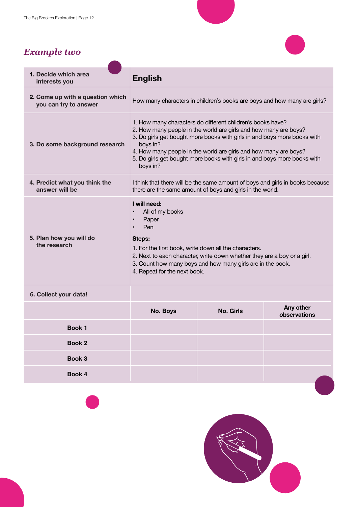#### *Example two*



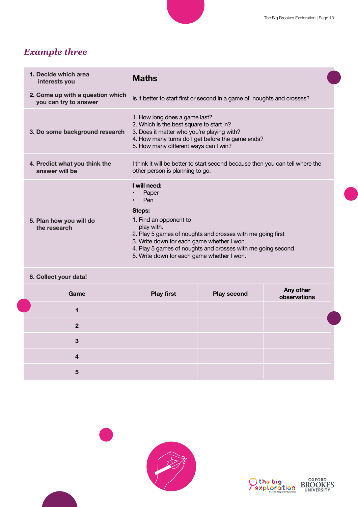### *Example three*

| 1. Decide which area<br>interests you                     | <b>Maths</b>                                                                                                                                                                                                                                                                                            |                    |                           |  |
|-----------------------------------------------------------|---------------------------------------------------------------------------------------------------------------------------------------------------------------------------------------------------------------------------------------------------------------------------------------------------------|--------------------|---------------------------|--|
| 2. Come up with a question which<br>you can try to answer | Is it better to start first or second in a game of noughts and crosses?                                                                                                                                                                                                                                 |                    |                           |  |
| 3. Do some background research                            | 1. How long does a game last?<br>2. Which is the best square to start in?<br>3. Does it matter who you're playing with?<br>4. How many turns do I get before the game ends?<br>5. How many different ways can I win?                                                                                    |                    |                           |  |
| 4. Predict what you think the<br>answer will be           | I think it will be better to start second because then you can tell where the<br>other person is planning to go.                                                                                                                                                                                        |                    |                           |  |
| 5. Plan how you will do<br>the research                   | I will need:<br>Paper<br>Pen<br>Steps:<br>1. Find an opponent to<br>play with.<br>2. Play 5 games of noughts and crosses with me going first<br>3. Write down for each game whether I won.<br>4. Play 5 games of noughts and crosses with me going second<br>5. Write down for each game whether I won. |                    |                           |  |
| 6. Collect your data!                                     |                                                                                                                                                                                                                                                                                                         |                    |                           |  |
| Game                                                      | <b>Play first</b>                                                                                                                                                                                                                                                                                       | <b>Play second</b> | Any other<br>observations |  |
| 1                                                         |                                                                                                                                                                                                                                                                                                         |                    |                           |  |
| $\overline{2}$                                            |                                                                                                                                                                                                                                                                                                         |                    |                           |  |
| 3                                                         |                                                                                                                                                                                                                                                                                                         |                    |                           |  |
| 4                                                         |                                                                                                                                                                                                                                                                                                         |                    |                           |  |
| 5                                                         |                                                                                                                                                                                                                                                                                                         |                    |                           |  |